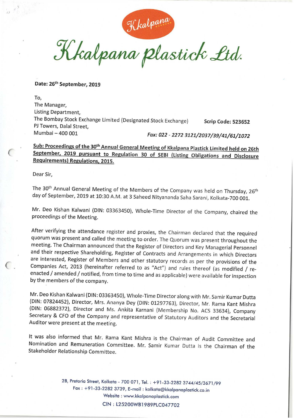Kkalpana plastick Ltd.

Date: 26<sup>th</sup> September, 2019

To, The Manager, Listing Department, The Bombay Stock Exchange Limited (Designated Stock Exchange) Scrip Code: 523652 PJ Towers, Dalal Street. Mumbai — 400 001 Fax: 022 - 2272 3121/2037/39/41/61/1072

Sub: Proceedings of the 30<sup>th</sup> Annual General Meeting of Kkalpana Plastick Limited held on 26th September, <sup>2019</sup> pursuant to Regulation <sup>30</sup> of SEBI (Listing Obligations and Disclosure Reguirements) Regulations, 2015.

Dear Sir,

The 30<sup>th</sup> Annual General Meeting of the Members of the Company was held on Thursday, 26<sup>th</sup> day of September, 2019 at 10:30 A.M. at 3 Saheed Nityananda Saha Sarani, Kolkata-700 001.

Mr. Deo Kishan Kalwani (DIN: 03363450), Whole—Time Director of the Company, chaired the proceedings of the Meeting.

After verifying the attendance register and proxies, the Chairman declared that the required quorum was present and called the meeting to order. The Quorum was present throughout the meeting. The Chairman announced that the Register of Directors and Key Managerial Personnel and their respective Shareholding, Register of Contracts and Arrangements in which Directors are interested, Register of Members and other statutory records as per the provisions of the Companies Act, <sup>2013</sup> (hereinafter referred to as "Act") and rules thereof (as modified / reenacted / amended / notified, from time to time and as applicable) were available for inspection by the members of the company.

Mr. Deo Kishan Kalwani (DIN: 03363450), Whole-Time Director along with Mr. Samir Kumar Dutta (DIN: 07824452), Director, Mrs. Ananya Dey (DIN: 01297763), Director, Mr. Rama Kant Mishra (DIN: 06882372), Director and Ms. Ankita Karnani (Membership No. ACS 33634), Company Secretary & CFO of the Company and representative of Statutory Auditors and the Secretarial Auditor were present at the meeting.

It was also informed that Mr. Rama Kant Mishra is the Chairman of Audit Committee and Nomination and Remuneration Committee. Mr. Samir Kumar Dutta is the Chairman of the Stakeholder Relationship Committee.

> 2B, Pretoria Street, Kolkata - 700 071, Tel. : +91-33-2282 3744/45/3671/99 Fax : +91-33-2282 3739, E-mail : kolkata@kkalpanaplastick.co.in Website : www.kkalpanaplastick.com CIN: L25200WB1989PLC047702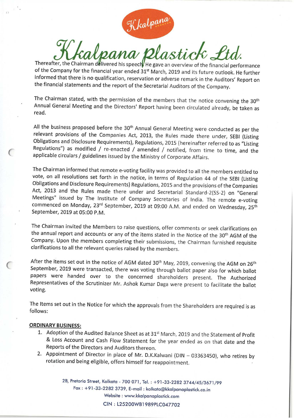$K$ kalpana<br>Thereafter, the Chairman delivered his speech He gave an overview of the financial performance

of the Company for the financial year ended 31<sup>st</sup> March, 2019 and its future outlook. He further informed that there is no qualification, reservation or adverse remark in the Auditors' Report on the financial statements and the report of the Secretarial Auditors of the Company.

The Chairman stated, with the permission of the members that the notice convening the 30<sup>th</sup> Annual General Meeting and the Directors' Report having been circulated already, be taken as read.

All the business proposed before the 30<sup>th</sup> Annual General Meeting were conducted as per the relevant provisions of the Companies Act, 2013, the Rules made there under, SEBI (Listing Obligations and Disclosure Requirements), Regulations, <sup>2015</sup> (hereinafter referred to as "Listing Regulations") as modified / re-enacted / amended / notified, from time to time, and the applicable circulars / guidelines issued by the Ministry of Corporate Affairs.

The Chairman informed that remote e-voting facility was provided to all the members entitled to vote, on all resolutions set forth in the notice, in terms of Regulation <sup>44</sup> of the SEBI (Listing Obligations and Disclosure Requirements) Regulations, <sup>2015</sup> and the provisions of the Companies Act, <sup>2013</sup> and the Rules made there under and Secretarial Standard-2(SS-2) on "General Meetings" issued by The Institute of Company Secretaries of India. The remote e-voting commenced on Monday, 23rd September, 2019 at 09:00 A.M. and ended on Wednesday, 25<sup>th</sup> September, 2019 at 05:00 P.M.

The Chairman invited the Members to raise questions, offer comments or seek clarifications on the annual report and accounts or any of the items stated in the Notice of the 30<sup>th</sup> AGM of the Company. Upon the members completing their submissions, the Chairman furnished requisite clarifications to all the relevant queries raised by the members.

After the items set out in the notice of AGM dated 30<sup>th</sup> May, 2019, convening the AGM on 26<sup>th</sup> September, <sup>2019</sup> were transacted, there was voting through ballot paper also for which ballot papers were handed over to the concerned shareholders present. The Authorized Representatives of the Scrutinizer Mr. Ashok Kumar Daga were present to facilitate the ballot voting.

The Items set out in the Notice for which the approvals from the Shareholders are required is as follows:

## ORDINARY BUSINESS:

- 1. Adoption of the Audited Balance Sheet as at 31<sup>st</sup> March, 2019 and the Statement of Profit & Loss Account and Cash Flow Statement for the year ended as on that date and the Reports of the Directors and Auditors thereon.
- 2. Appointment of Director in place of Mr. D.K.Kalwani (DIN 03363450), who retires by rotation and being eligible, offers himself for reappointment.

28, Pretoria Street, Kolkafa - 700 071, Tel. : +91-33-2282 3744/45/3671/99 Fax : +91-33-2282 3739, E-mail : kolkota@kkulpunaplastick.co.in Website : www.kkalpanaplastick.com

ClN : L25200WBI 989PLCO47702